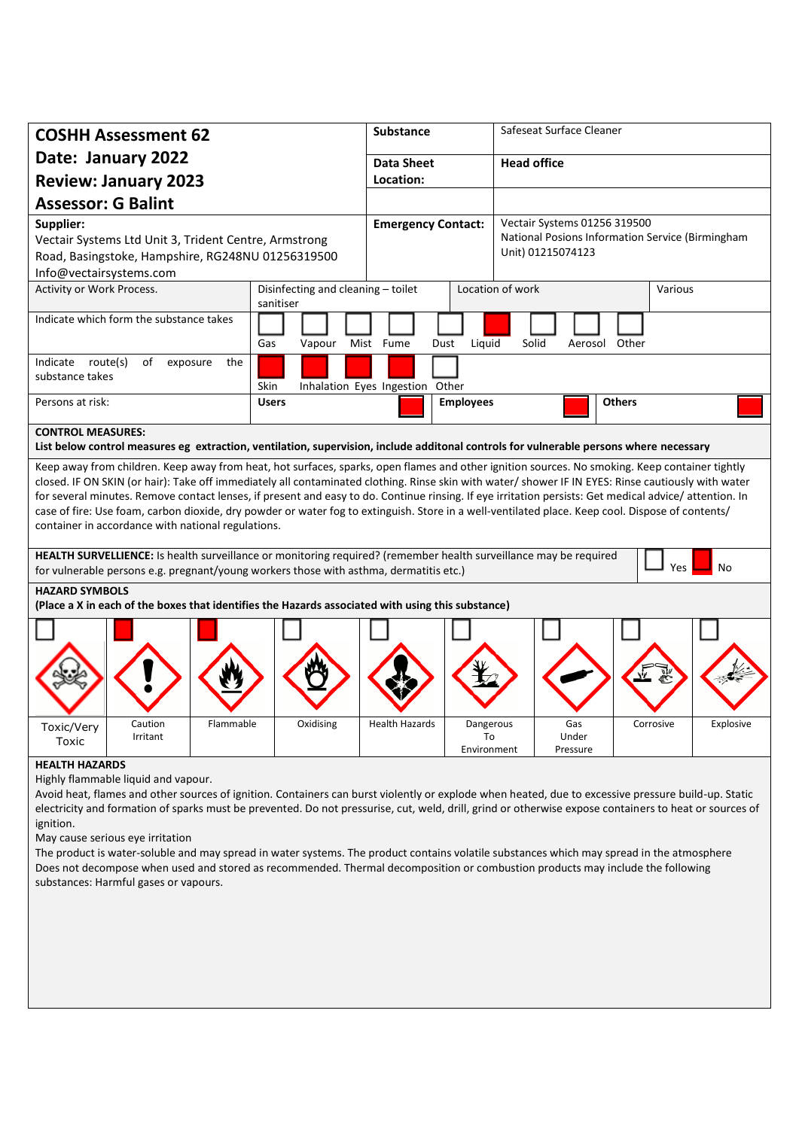| <b>COSHH Assessment 62</b>                                                                                                                                                                                                                                                                                                                                                                                                                                                                                                                                                                                                                                                |                                                 | <b>Substance</b>  |                                                                                                       | Safeseat Surface Cleaner    |               |  |           |
|---------------------------------------------------------------------------------------------------------------------------------------------------------------------------------------------------------------------------------------------------------------------------------------------------------------------------------------------------------------------------------------------------------------------------------------------------------------------------------------------------------------------------------------------------------------------------------------------------------------------------------------------------------------------------|-------------------------------------------------|-------------------|-------------------------------------------------------------------------------------------------------|-----------------------------|---------------|--|-----------|
| Date: January 2022                                                                                                                                                                                                                                                                                                                                                                                                                                                                                                                                                                                                                                                        |                                                 | <b>Data Sheet</b> |                                                                                                       | <b>Head office</b>          |               |  |           |
| <b>Review: January 2023</b>                                                                                                                                                                                                                                                                                                                                                                                                                                                                                                                                                                                                                                               |                                                 | Location:         |                                                                                                       |                             |               |  |           |
| <b>Assessor: G Balint</b>                                                                                                                                                                                                                                                                                                                                                                                                                                                                                                                                                                                                                                                 |                                                 |                   |                                                                                                       |                             |               |  |           |
| Supplier:<br>Vectair Systems Ltd Unit 3, Trident Centre, Armstrong<br>Road, Basingstoke, Hampshire, RG248NU 01256319500<br>Info@vectairsystems.com                                                                                                                                                                                                                                                                                                                                                                                                                                                                                                                        | <b>Emergency Contact:</b>                       |                   | Vectair Systems 01256 319500<br>National Posions Information Service (Birmingham<br>Unit) 01215074123 |                             |               |  |           |
| Activity or Work Process.                                                                                                                                                                                                                                                                                                                                                                                                                                                                                                                                                                                                                                                 | Disinfecting and cleaning - toilet<br>sanitiser |                   |                                                                                                       | Location of work<br>Various |               |  |           |
| Indicate which form the substance takes                                                                                                                                                                                                                                                                                                                                                                                                                                                                                                                                                                                                                                   | Gas<br>Vapour<br>Mist Fume                      | Liquid<br>Dust    | Solid<br>Aerosol Other                                                                                |                             |               |  |           |
| Indicate route(s)<br>of<br>exposure<br>the<br>substance takes                                                                                                                                                                                                                                                                                                                                                                                                                                                                                                                                                                                                             | Skin<br>Inhalation Eyes Ingestion Other         |                   |                                                                                                       |                             |               |  |           |
| Persons at risk:                                                                                                                                                                                                                                                                                                                                                                                                                                                                                                                                                                                                                                                          | <b>Users</b>                                    | <b>Employees</b>  |                                                                                                       |                             | <b>Others</b> |  |           |
| <b>CONTROL MEASURES:</b><br>List below control measures eg extraction, ventilation, supervision, include additonal controls for vulnerable persons where necessary                                                                                                                                                                                                                                                                                                                                                                                                                                                                                                        |                                                 |                   |                                                                                                       |                             |               |  |           |
| Keep away from children. Keep away from heat, hot surfaces, sparks, open flames and other ignition sources. No smoking. Keep container tightly<br>closed. IF ON SKIN (or hair): Take off immediately all contaminated clothing. Rinse skin with water/ shower IF IN EYES: Rinse cautiously with water<br>for several minutes. Remove contact lenses, if present and easy to do. Continue rinsing. If eye irritation persists: Get medical advice/ attention. In<br>case of fire: Use foam, carbon dioxide, dry powder or water fog to extinguish. Store in a well-ventilated place. Keep cool. Dispose of contents/<br>container in accordance with national regulations. |                                                 |                   |                                                                                                       |                             |               |  |           |
| HEALTH SURVELLIENCE: Is health surveillance or monitoring required? (remember health surveillance may be required<br>Yes<br>No<br>for vulnerable persons e.g. pregnant/young workers those with asthma, dermatitis etc.)                                                                                                                                                                                                                                                                                                                                                                                                                                                  |                                                 |                   |                                                                                                       |                             |               |  |           |
| <b>HAZARD SYMBOLS</b>                                                                                                                                                                                                                                                                                                                                                                                                                                                                                                                                                                                                                                                     |                                                 |                   |                                                                                                       |                             |               |  |           |
| (Place a X in each of the boxes that identifies the Hazards associated with using this substance)                                                                                                                                                                                                                                                                                                                                                                                                                                                                                                                                                                         |                                                 |                   |                                                                                                       |                             |               |  |           |
| Toxic/Very<br>Caution<br>Flammable<br>Irritant<br>Toxic                                                                                                                                                                                                                                                                                                                                                                                                                                                                                                                                                                                                                   | Oxidising                                       | Health Hazards    | Dangerous<br>To<br>Environment                                                                        | Gas<br>Under<br>Pressure    | Corrosive     |  | Explosive |
| <b>HEALTH HAZARDS</b><br>Highly flammable liquid and vapour.<br>Avoid heat, flames and other sources of ignition. Containers can burst violently or explode when heated, due to excessive pressure build-up. Static<br>electricity and formation of sparks must be prevented. Do not pressurise, cut, weld, drill, grind or otherwise expose containers to heat or sources of<br>ignition.                                                                                                                                                                                                                                                                                |                                                 |                   |                                                                                                       |                             |               |  |           |

May cause serious eye irritation

The product is water-soluble and may spread in water systems. The product contains volatile substances which may spread in the atmosphere Does not decompose when used and stored as recommended. Thermal decomposition or combustion products may include the following substances: Harmful gases or vapours.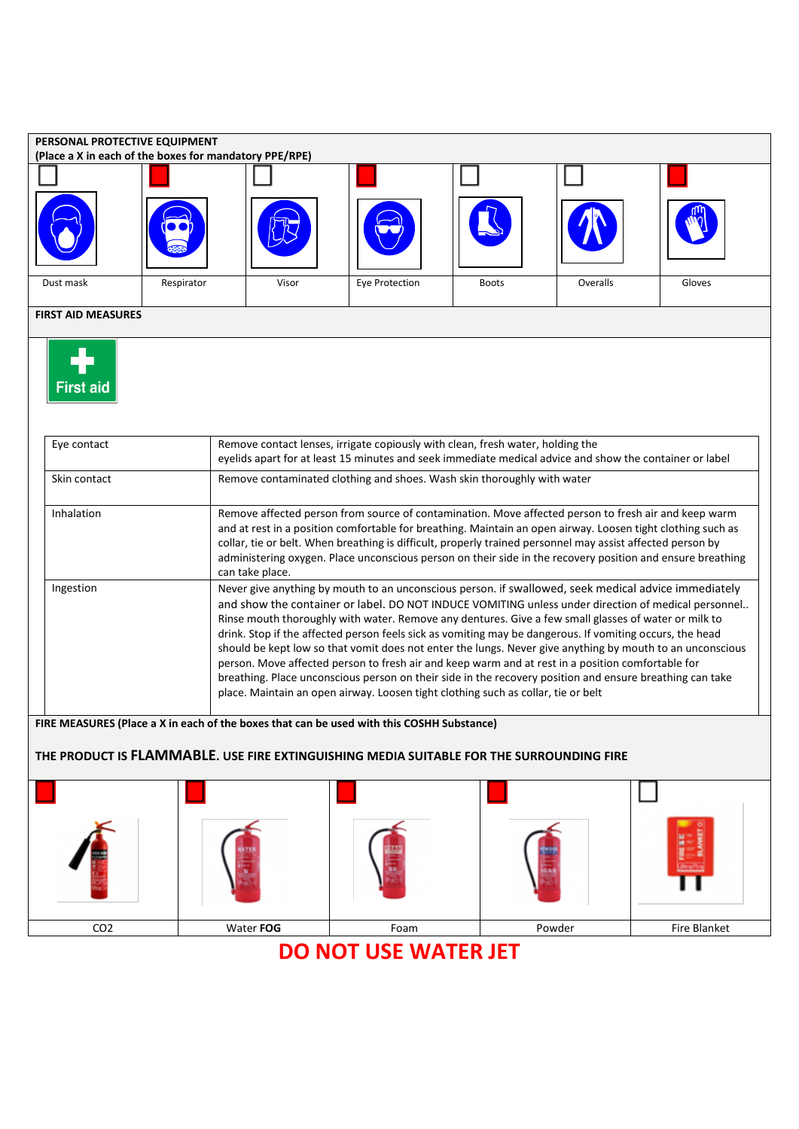

## **DO NOT USE WATER JET**